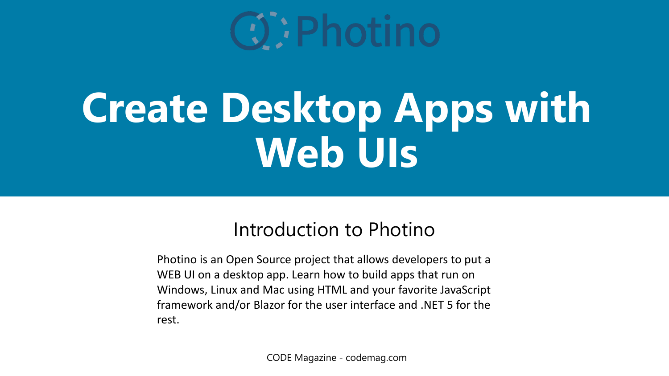

# **Create Desktop Apps with Web UIs**

#### Introduction to Photino

Photino is an Open Source project that allows developers to put a WEB UI on a desktop app. Learn how to build apps that run on Windows, Linux and Mac using HTML and your favorite JavaScript framework and/or Blazor for the user interface and .NET 5 for the rest.

CODE Magazine - codemag.com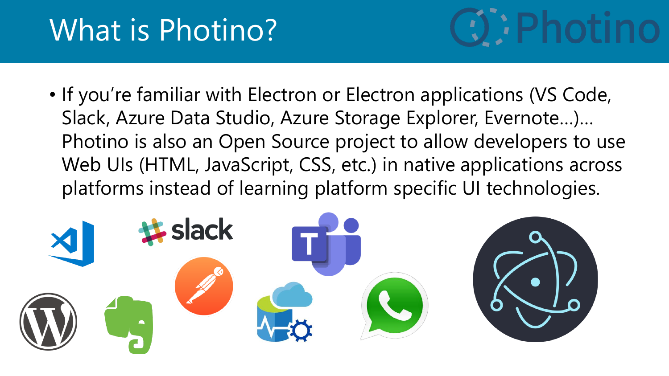### What is Photino?



• If you're familiar with Electron or Electron applications (VS Code, Slack, Azure Data Studio, Azure Storage Explorer, Evernote…)… Photino is also an Open Source project to allow developers to use Web UIs (HTML, JavaScript, CSS, etc.) in native applications across platforms instead of learning platform specific UI technologies.

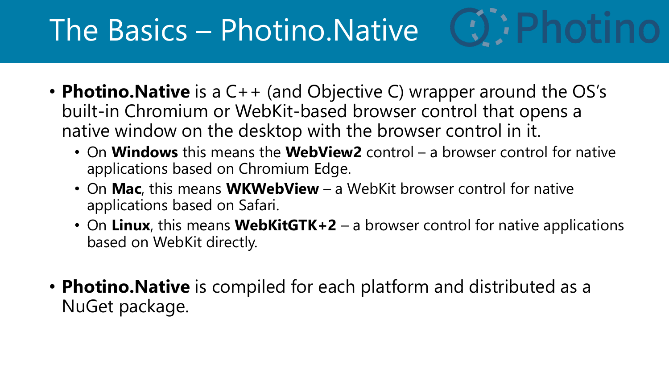# The Basics – Photino.Native

- **Photino. Native** is a C++ (and Objective C) wrapper around the OS's built-in Chromium or WebKit-based browser control that opens a native window on the desktop with the browser control in it.
	- On **Windows** this means the **WebView2** control a browser control for native applications based on Chromium Edge.
	- On **Mac**, this means **WKWebView** a WebKit browser control for native applications based on Safari.
	- On **Linux**, this means **WebKitGTK+2**  a browser control for native applications based on WebKit directly.
- **Photino.Native** is compiled for each platform and distributed as a NuGet package.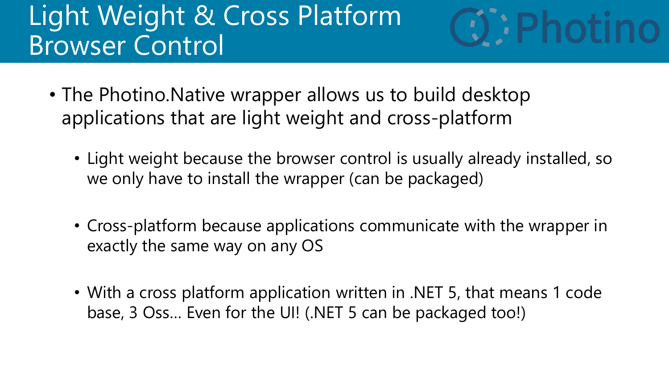#### Light Weight & Cross Platform Browser Control



- The Photino.Native wrapper allows us to build desktop applications that are light weight and cross-platform
	- Light weight because the browser control is usually already installed, so we only have to install the wrapper (can be packaged)
	- Cross-platform because applications communicate with the wrapper in exactly the same way on any OS
	- With a cross platform application written in .NET 5, that means 1 code base, 3 Oss… Even for the UI! (.NET 5 can be packaged too!)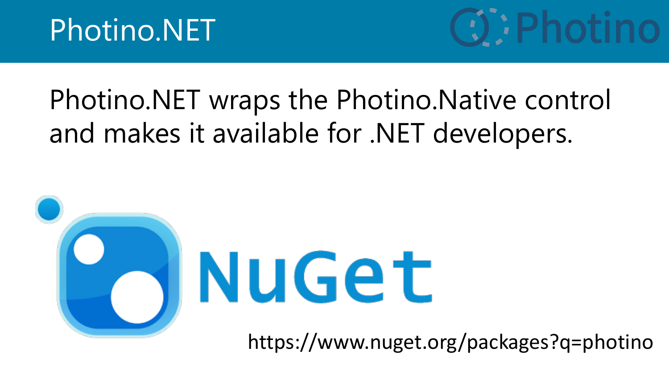

#### Photino.NET wraps the Photino.Native control and makes it available for .NET developers.



https://www.nuget.org/packages?q=photino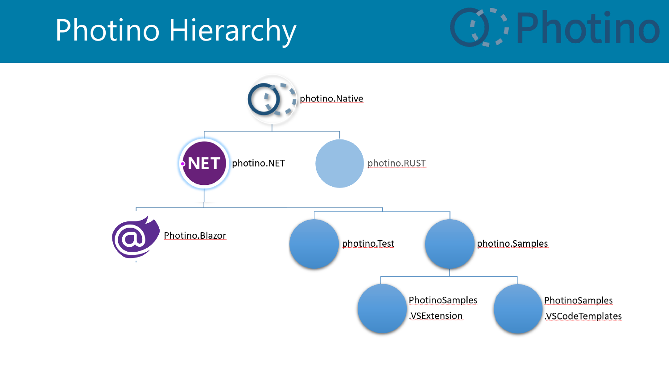### Photino Hierarchy



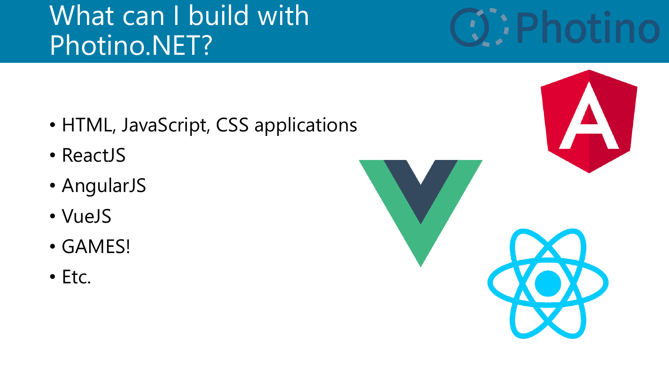#### What can I build with Photino.NET?

- HTML, JavaScript, CSS applications
- ReactJS
- AngularJS
- VueJS
- GAMES!
- Etc.

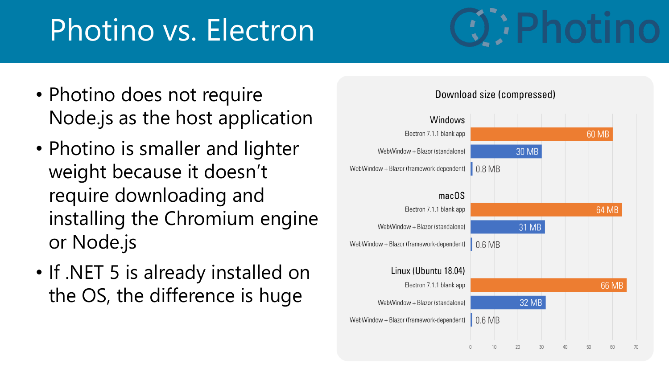# Photino vs. Electron

- Photino does not require Node.js as the host application
- Photino is smaller and lighter weight because it doesn't require downloading and installing the Chromium engine or Node.js
- If .NET 5 is already installed on the OS, the difference is huge

#### Windows Electron 7.1.1 blank app 60 MB **30 MB** WebWindow + Blazor (standalone) WebWindow + Blazor (framework-dependent)  $\big| 0.8 \text{ MB}$  $macOS$ Electron 7.1.1 blank app 64 MB 31 MB WebWindow + Blazor (standalone) WebWindow + Blazor (framework-dependent)  $\mid$  0.6 MB Linux (Ubuntu 18.04) Electron 7.1.1 blank app 66 MB 32 MB WebWindow + Blazor (standalone) WebWindow + Blazor (framework-dependent)  $\Box$  0.6 MB

Download size (compressed)



30

60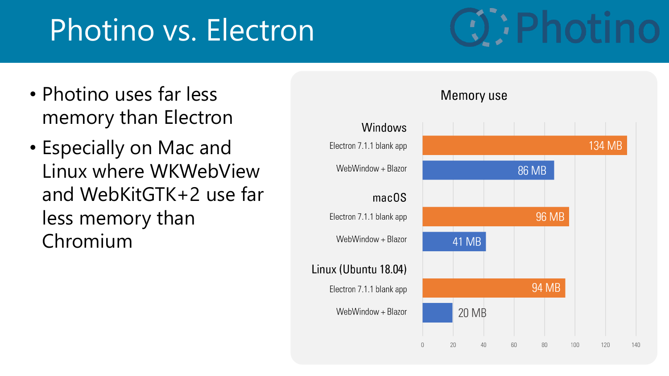# Photino vs. Electron

- Photino uses far less memory than Electron
- Especially on Mac and Linux where WKWebView and WebKitGTK+2 use far less memory than Chromium

#### Windows 134 MB Electron 7.1.1 blank app WebWindow + Blazor **86 MB**  $macOS$ **96 MB** Electron 7.1.1 blank app WebWindow  $+$  Blazor 41 MB Linux (Ubuntu 18.04) **94 MB** Electron 7.1.1 blank app WebWindow + Blazor 20 MB  $\bigcirc$ 20 40 60 80 100 120 140

**Memory use**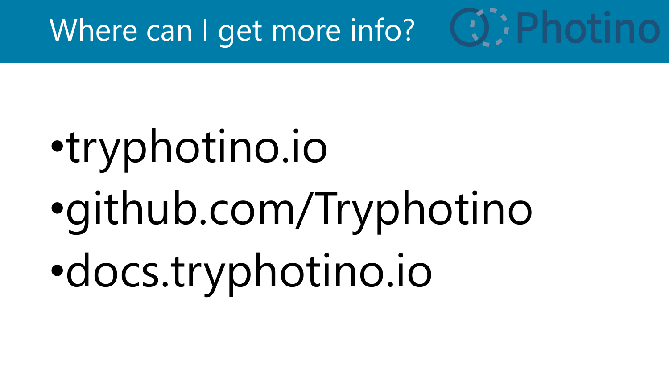# Where can I get more info?

# •tryphotino.io •github.com/Tryphotino •docs.tryphotino.io

**CO: Photino**